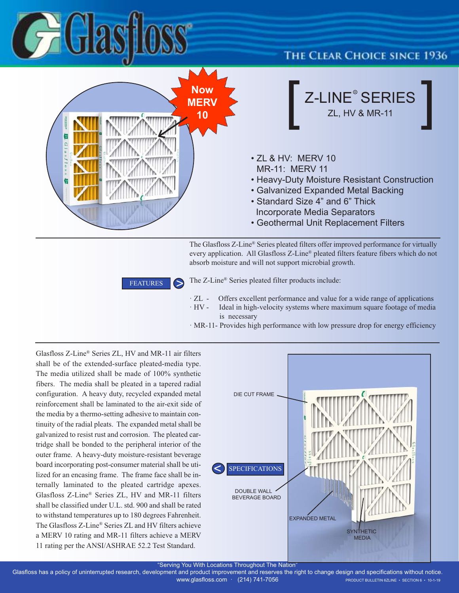

#### **THE CLEAR CHOICE SINCE 1936**



The Glasfloss Z-Line® Series pleated filters offer improved performance for virtually every application. All Glasfloss Z-Line® pleated filters feature fibers which do not absorb moisture and will not support microbial growth.

**FEATURES** 

The Z-Line® Series pleated filter products include:

- · ZL Offers excellent performance and value for a wide range of applications · HV - Ideal in high-velocity systems where maximum square footage of media
	- is necessary
- · MR-11- Provides high performance with low pressure drop for energy efficiency

Glasfloss Z-Line® Series ZL, HV and MR-11 air filters shall be of the extended-surface pleated-media type. The media utilized shall be made of 100% synthetic fibers. The media shall be pleated in a tapered radial configuration. A heavy duty, recycled expanded metal reinforcement shall be laminated to the air-exit side of the media by a thermo-setting adhesive to maintain continuity of the radial pleats. The expanded metal shall be galvanized to resist rust and corrosion. The pleated cartridge shall be bonded to the peripheral interior of the outer frame. A heavy-duty moisture-resistant beverage board incorporating post-consumer material shall be utilized for an encasing frame. The frame face shall be internally laminated to the pleated cartridge apexes. Glasfloss Z-Line® Series ZL, HV and MR-11 filters shall be classified under U.L. std. 900 and shall be rated to withstand temperatures up to 180 degrees Fahrenheit. The Glasfloss Z-Line® Series ZL and HV filters achieve a MERV 10 rating and MR-11 filters achieve a MERV 11 rating per the ANSI/ASHRAE 52.2 Test Standard.



"Serving You With Locations Throughout The Nation"

Glasfloss has a policy of uninterrupted research, development and product improvement and reserves the right to change design and specifications without notice. WWW.glasfloss.com · (214) 741-7056 PRODUCT BULLETIN 6ZLINE • SECTION 6 · 10-1-19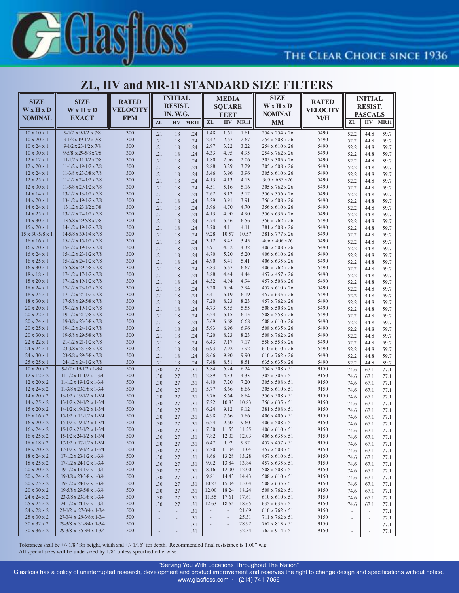

### **THE CLEAR CHOICE SINCE 1936**

#### **ZL, HV and MR-11 STANDARD SIZE FILTERS**

| <b>SIZE</b>                                        | <b>SIZE</b>                                                                      | <b>RATED</b>    | <b>INITIAL</b><br><b>RESIST.</b>                         |                          | <b>MEDIA</b><br><b>SQUARE</b> |                                          |                          | <b>SIZE</b><br>WxHxD | <b>RATED</b>                      | <b>INITIAL</b><br><b>RESIST.</b> |                               |                                    |              |
|----------------------------------------------------|----------------------------------------------------------------------------------|-----------------|----------------------------------------------------------|--------------------------|-------------------------------|------------------------------------------|--------------------------|----------------------|-----------------------------------|----------------------------------|-------------------------------|------------------------------------|--------------|
| WxHxD                                              | W x H x D                                                                        | <b>VELOCITY</b> |                                                          | IN. W.G.                 |                               | <b>REET</b>                              |                          |                      | <b>VELOCITY</b><br><b>NOMINAL</b> |                                  | <b>PASCALS</b>                |                                    |              |
| <b>NOMINAL</b>                                     | <b>EXACT</b>                                                                     | <b>FPM</b>      | ZL                                                       | H V                      | <b>MR11</b>                   | ZL                                       | H <sub>V</sub>           | <b>MR11</b>          | <b>MM</b>                         | M/H                              | ZL                            | <b>HV</b>                          | <b>MR11</b>  |
| $10 \times 10 \times 1$                            | $9-1/2 \times 9-1/2 \times 7/8$                                                  | 300             | .21                                                      | .18                      | .24                           | 1.48                                     | 1.61                     | 1.61                 | 254 x 254 x 26                    | 5490                             | 52.2                          | 44.8                               | 59.7         |
| $10 \times 20 \times 1$                            | $9-1/2 \times 19-1/2 \times 7/8$                                                 | 300             | .21                                                      | .18                      | .24                           | 2.47                                     | 2.67                     | 2.67                 | 254 x 508 x 26                    | 5490                             | 52.2                          | 44.8                               | 59.7         |
| $10 \times 24 \times 1$                            | $9-1/2 \times 23-1/2 \times 7/8$                                                 | 300             | .21                                                      | .18                      | .24                           | 2.97                                     | 3.22                     | 3.22                 | 254 x 610 x 26                    | 5490                             | 52.2                          | 44.8                               | 59.7         |
| $10 \times 30 \times 1$                            | $9-5/8 \times 29-5/8 \times 7/8$                                                 | 300             | .21                                                      | .18                      | .24                           | 4.33                                     | 4.95                     | 4.95                 | 254 x 762 x 26                    | 5490                             | 52.2                          | 44.8                               | 59.7         |
| $12 \times 12 \times 1$                            | $11 - 1/2 \times 11$ $1/2 \times 7/8$                                            | 300             | .21                                                      | .18                      | .24                           | 1.80                                     | 2.06                     | 2.06                 | 305 x 305 x 26                    | 5490                             | 52.2                          | 44.8                               | 59.7         |
| 12 x 20 x 1                                        | $11 - 1/2 \times 19 - 1/2 \times 7/8$                                            | 300             | .21                                                      | .18                      | .24                           | 2.88                                     | 3.29                     | 3.29                 | 305 x 508 x 26                    | 5490                             | 52.2                          | 44.8                               | 59.7         |
| 12 x 24 x 1                                        | 11-3/8 x 23-3/8 x 7/8                                                            | 300             | .21                                                      | .18                      | .24                           | 3.46<br>4.13                             | 3.96<br>4.13             | 3.96<br>4.13         | 305 x 610 x 26                    | 5490<br>5490                     | 52.2                          | 44.8                               | 59.7         |
| 12 x 25 x 1<br>$12 \times 30 \times 1$             | $11 - 1/2 \times 24 - 1/2 \times 7/8$<br>$11-5/8 \times 29-1/2 \times 7/8$       | 300<br>300      | .21                                                      | .18<br>.18               | .24                           | 4.51                                     | 5.16                     | 5.16                 | 305 x 635 x26<br>305 x 762 x 26   | 5490                             | 52.2                          | 44.8<br>44.8                       | 59.7         |
| 14 x 14 x 1                                        | 13-1/2 x 13-1/2 x 7/8                                                            | 300             | .21<br>.21                                               | .18                      | .24<br>.24                    | 2.62                                     | 3.12                     | 3.12                 | 356 x 356 x 26                    | 5490                             | 52.2<br>52.2                  | 44.8                               | 59.7<br>59.7 |
| 14 x 20 x 1                                        | 13-1/2 x 19-1/2 x 7/8                                                            | 300             | .21                                                      | .18                      | .24                           | 3.29                                     | 3.91                     | 3.91                 | 356 x 508 x 26                    | 5490                             | 52.2                          | 44.8                               | 59.7         |
| 14 x 24 x 1                                        | 13 1/2 x 23 1/2 x 7/8                                                            | 300             | .21                                                      | .18                      | .24                           | 3.96                                     | 4.70                     | 4.70                 | 356 x 610 x 26                    | 5490                             | 52.2                          | 44.8                               | 59.7         |
| 14 x 25 x 1                                        | 13-1/2 x 24-1/2 x 7/8                                                            | 300             | .21                                                      | .18                      | .24                           | 4.13                                     | 4.90                     | 4.90                 | 356 x 635 x 26                    | 5490                             | 52.2                          | 44.8                               | 59.7         |
| 14 x 30 x 1                                        | 13 5/8 x 29 5/8 x 7/8                                                            | 300             | .21                                                      | .18                      | .24                           | 5.74                                     | 6.56                     | 6.56                 | 356 x 762 x 26                    | 5490                             | 52.2                          | 44.8                               | 59.7         |
| $15 \times 20 \times 1$                            | 14-1/2 x 19-1/2 x 7/8                                                            | 300             | .21                                                      | .18                      | .24                           | 3.70                                     | 4.11                     | 4.11                 | 381 x 508 x 26                    | 5490                             | 52.2                          | 44.8                               | 59.7         |
| 15 x 30-5/8 x 1                                    | 14-5/8 x 30-1/4 x 7/8                                                            | 300             | .21                                                      | .18                      | .24                           | 9.28                                     | 10.57                    | 10.57                | 381 x 777 x 26                    | 5490                             | 52.2                          | 44.8                               | 59.7         |
| $16 \times 16 \times 1$                            | 15-1/2 x 15-1/2 x 7/8                                                            | 300             | .21                                                      | .18                      | .24                           | 3.12                                     | 3.45                     | 3.45                 | 406 x 406 x26                     | 5490                             | 52.2                          | 44.8                               | 59.7         |
| $16 \times 20 \times 1$<br>$16 \times 24 \times 1$ | 15-1/2 x 19-1/2 x 7/8<br>15-1/2 x 23-1/2 x 7/8                                   | 300<br>300      | .21                                                      | .18                      | .24                           | 3.91<br>4.70                             | 4.32<br>5.20             | 4.32<br>5.20         | 406 x 508 x 26<br>406 x 610 x 26  | 5490<br>5490                     | 52.2                          | 44.8                               | 59.7         |
| $16 \times 25 \times 1$                            | 15-1/2 x 24-1/2 x 7/8                                                            | 300             | .21<br>.21                                               | .18<br>.18               | .24<br>.24                    | 4.90                                     | 5.41                     | 5.41                 | 406 x 635 x 26                    | 5490                             | 52.2<br>52.2                  | 44.8<br>44.8                       | 59.7<br>59.7 |
| $16 \times 30 \times 1$                            | 15-5/8 x 29-5/8 x 7/8                                                            | 300             | .21                                                      | .18                      | .24                           | 5.83                                     | 6.67                     | 6.67                 | 406 x 762 x 26                    | 5490                             | 52.2                          | 44.8                               | 59.7         |
| 18 x 18 x 1                                        | $17 - 1/2 \times 17 - 1/2 \times 7/8$                                            | 300             | .21                                                      | .18                      | .24                           | 3.88                                     | 4.44                     | 4.44                 | 457 x 457 x 26                    | 5490                             | 52.2                          | 44.8                               | 59.7         |
| 18 x 20 x 1                                        | $17 - 1/2 \times 19 - 1/2 \times 7/8$                                            | 300             | .21                                                      | .18                      | .24                           | 4.32                                     | 4.94                     | 4.94                 | 457 x 508 x 26                    | 5490                             | 52.2                          | 44.8                               | 59.7         |
| 18 x 24 x 1                                        | $17 - 1/2 \times 23 - 1/2 \times 7/8$                                            | 300             | .21                                                      | .18                      | .24                           | 5.20                                     | 5.94                     | 5.94                 | 457 x 610 x 26                    | 5490                             | 52.2                          | 44.8                               | 59.7         |
| 18 x 25 x 1                                        | $17 - 1/2 \times 24 - 1/2 \times 7/8$                                            | 300             | .21                                                      | .18                      | .24                           | 5.41                                     | 6.19                     | 6.19                 | 457 x 635 x 26                    | 5490                             | 52.2                          | 44.8                               | 59.7         |
| 18 x 30 x 1                                        | 17-5/8 x 29-5/8 x 7/8                                                            | 300             | .21                                                      | .18                      | .24                           | 7.20                                     | 8.23                     | 8.23                 | 457 x 762 x 26                    | 5490                             | 52.2                          | 44.8                               | 59.7         |
| $20 \times 20 \times 1$                            | 19-1/2 x 19-1/2 x 7/8                                                            | 300             | .21                                                      | .18                      | .24                           | 4.73                                     | 5.55                     | 5.55                 | 508 x 508 x 26                    | 5490                             | 52.2                          | 44.8                               | 59.7         |
| 20 x 22 x 1<br>20 x 24 x 1                         | 19-1/2 x 21-7/8 x 7/8<br>19-3/8 x 23-3/8 x 7/8                                   | 300<br>300      | .21                                                      | .18                      | .24                           | 5.24<br>5.69                             | 6.15<br>6.68             | 6.15<br>6.68         | 508 x 558 x 26<br>508 x 610 x 26  | 5490<br>5490                     | 52.2                          | 44.8                               | 59.7         |
| 20 x 25 x 1                                        | 19-1/2 x 24-1/2 x 7/8                                                            | 300             | .21<br>.21                                               | .18<br>.18               | .24<br>.24                    | 5.93                                     | 6.96                     | 6.96                 | 508 x 635 x 26                    | 5490                             | 52.2<br>52.2                  | 44.8<br>44.8                       | 59.7<br>59.7 |
| 20 x 30 x 1                                        | 19-5/8 x 29-5/8 x 7/8                                                            | 300             | .21                                                      | .18                      | .24                           | 7.20                                     | 8.23                     | 8.23                 | 508 x 762 x 26                    | 5490                             | 52.2                          | 44.8                               | 59.7         |
| 22 x 22 x 1                                        | $21 - 1/2 \times 21 - 1/2 \times 7/8$                                            | 300             | .21                                                      | .18                      | .24                           | 6.43                                     | 7.17                     | 7.17                 | 558 x 558 x 26                    | 5490                             | 52.2                          | 44.8                               | 59.7         |
| 24 x 24 x 1                                        | 23-3/8 x 23-3/8 x 7/8                                                            | 300             | .21                                                      | .18                      | .24                           | 6.93                                     | 7.92                     | 7.92                 | 610 x 610 x 26                    | 5490                             | 52.2                          | 44.8                               | 59.7         |
| 24 x 30 x 1                                        | 23-5/8 x 29-5/8 x 7/8                                                            | 300             | .21                                                      | .18                      | .24                           | 8.66                                     | 9.90                     | 9.90                 | 610 x 762 x 26                    | 5490                             | 52.2                          | 44.8                               | 59.7         |
| 25 x 25 x 1                                        | 24-1/2 x 24-1/2 x 7/8                                                            | 300             | .21                                                      | .18                      | .24                           | 7.48                                     | 8.51                     | 8.51                 | 635 x 635 x 26                    | 5490                             | 52.2                          | 44.8                               | 59.7         |
| $10 \times 20 \times 2$                            | $9-1/2 \times 19-1/2 \times 1-3/4$                                               | 500             | .30                                                      | .27                      | .31                           | 3.84                                     | 6.24                     | 6.24                 | 254 x 508 x 51                    | 9150                             | 74.6                          | 67.1                               | 77.1         |
| 12 x 12 x 2<br>12 x 20 x 2                         | $11 - 1/2 \times 11 - 1/2 \times 1 - 3/4$<br>$11-1/2 \times 19-1/2 \times 1-3/4$ | 500<br>500      | .30                                                      | .27                      | .31                           | 2.89<br>4.80                             | 4.33<br>7.20             | 4.33<br>7.20         | 305 x 305 x 51<br>305 x 508 x 51  | 9150<br>9150                     | 74.6                          | 67.1                               | 77.1         |
| 12 x 24 x 2                                        | $11-3/8 \times 23-3/8 \times 1-3/4$                                              | 500             | .30<br>.30                                               | .27<br>.27               | .31<br>.31                    | 5.77                                     | 8.66                     | 8.66                 | 305 x 610 x 51                    | 9150                             | 74.6<br>74.6                  | 67.1<br>67.1                       | 77.1<br>77.1 |
| 14 x 20 x 2                                        | 13-1/2 x 19-1/2 x 1-3/4                                                          | 500             | .30                                                      | .27                      | .31                           | 5.76                                     | 8.64                     | 8.64                 | 356 x 508 x 51                    | 9150                             | 74.6                          | 67.1                               | 77.1         |
| 14 x 25 x 2                                        | 13-1/2 x 24-1/2 x 1-3/4                                                          | 500             | .30                                                      | .27                      | .31                           | 7.22                                     | 10.83                    | 10.83                | 356 x 635 x 51                    | 9150                             | 74.6                          | 67.1                               | 77.1         |
| 15 x 20 x 2                                        | 14-1/2 x 19-1/2 x 1-3/4                                                          | 500             | .30                                                      | .27                      | .31                           | 6.24                                     | 9.12                     | 9.12                 | 381 x 508 x 51                    | 9150                             | 74.6                          | 67.1                               | 77.1         |
| $16 \times 16 \times 2$                            | 15-1/2 x 15-1/2 x 1-3/4                                                          | 500             | .30                                                      | .27                      | .31                           | 4.98                                     | 7.66                     | 7.66                 | 406 x 406 x 51                    | 9150                             | 74.6                          | 67.1                               | 77.1         |
| 16 x 20 x 2                                        | 15-1/2 x 19-1/2 x 1-3/4                                                          | 500             | .30                                                      | .27                      | .31                           | 6.24                                     | 9.60                     | 9.60                 | $406 \times 508 \times 51$        | 9150                             | 74.6                          | 67.1                               | 77.1         |
| 16 x 24 x 2                                        | 15-1/2 x 23-1/2 x 1-3/4                                                          | 500             | .30                                                      | .27                      | .31                           | 7.50                                     | 11.55                    | 11.55                | 406 x 610 x 51                    | 9150                             | 74.6                          | 67.1                               | 77.1         |
| $16 \times 25 \times 2$                            | $15-1/2 \times 24-1/2 \times 1-3/4$                                              | 500             | .30                                                      | .27                      | .31                           | 7.82                                     | 12.03                    | 12.03                | $406 \times 635 \times 51$        | 9150                             | 74.6                          | 67.1                               | 77.1         |
| 18 x 18 x 2<br>18 x 20 x 2                         | $17-1/2 \times 17-1/2 \times 1-3/4$<br>$17-1/2 \times 19-1/2 \times 1-3/4$       | 500<br>500      | .30                                                      | .27                      | .31                           | 6.47<br>7.20                             | 9.92<br>11.04            | 9.92<br>11.04        | 457 x 457 x 51<br>457 x 508 x 51  | 9150<br>9150                     | 74.6                          | 67.1                               | 77.1         |
| 18 x 24 x 2                                        | $17 - 1/2 \times 23 - 1/2 \times 1 - 3/4$                                        | 500             | .30<br>.30                                               | .27<br>.27               | .31<br>.31                    | 8.66                                     | 13.28                    | 13.28                | $457 \times 610 \times 51$        | 9150                             | 74.6<br>74.6                  | 67.1<br>67.1                       | 77.1<br>77.1 |
| 18 x 25 x 2                                        | $17 - 1/2 \times 24 - 1/2 \times 1 - 3/4$                                        | 500             | .30                                                      | .27                      | .31                           | 9.02                                     | 13.84                    | 13.84                | 457 x 635 x 51                    | 9150                             | 74.6                          | 67.1                               | 77.1         |
| 20 x 20 x 2                                        | $19-1/2 \times 19-1/2 \times 1-3/4$                                              | 500             | .30                                                      | .27                      | .31                           | 8.16                                     | 12.00                    | 12.00                | 508 x 508 x 51                    | 9150                             | 74.6                          | 67.1                               | 77.1         |
| 20 x 24 x 2                                        | 19-3/8 x 23-3/8 x 1-3/4                                                          | 500             | .30                                                      | .27                      | .31                           | 9.81                                     | 14.43                    | 14.43                | 508 x 610 x 51                    | 9150                             | 74.6                          | 67.1                               | 77.1         |
| 20 x 25 x 2                                        | $19-1/2 \times 24-1/2 \times 1-3/4$                                              | 500             | .30                                                      | .27                      | .31                           | 10.23                                    | 15.04                    | 15.04                | 508 x 635 x 51                    | 9150                             | 74.6                          | 67.1                               | 77.1         |
| 20 x 30 x 2                                        | 19-5/8 x 29-5/8 x 1-3/4                                                          | 500             | .30                                                      | .27                      | .31                           | 12.00                                    | 18.24                    | 18.24                | 508 x 762 x 51                    | 9150                             | 74.6                          | 67.1                               | 77.1         |
| 24 x 24 x 2                                        | 23-3/8 x 23-3/8 x 1-3/4                                                          | 500             | .30                                                      | .27                      | .31                           | 11.55                                    | 17.61                    | 17.61                | 610 x 610 x 51                    | 9150                             | 74.6                          | 67.1                               | 77.1         |
| 25 x 25 x 2                                        | $24-1/2 \times 24-1/2 \times 1-3/4$                                              | 500             | .30                                                      | .27                      | .31                           | 12.63                                    | 18.65                    | 18.65                | 635 x 635 x 51                    | 9150                             | 74.6                          | 67.1                               | 77.1         |
| 24 x 28 x 2                                        | 23-1/2 x 27-3/4 x 1-3/4                                                          | 500             | $\overline{\phantom{a}}$                                 | $\overline{\phantom{a}}$ | .31                           | $\overline{\phantom{a}}$                 | $\overline{\phantom{a}}$ | 21.69                | 610 x 762 x 51                    | 9150                             | $\overline{\phantom{a}}$      | $\overline{\phantom{a}}$           | 77.1         |
| 28 x 30 x 2<br>30 x 32 x 2                         | 27-3/4 x 29-3/8 x 1-3/4<br>29-3/8 x 31-3/4 x 1-3/4                               | 500<br>500      | $\overline{\phantom{a}}$                                 | $\overline{\phantom{a}}$ | .31                           | $\centerdot$<br>$\overline{\phantom{a}}$ | $\overline{\phantom{a}}$ | 25.31<br>28.92       | 711 x 762 x 51<br>762 x 813 x 51  | 9150<br>9150                     | $\overline{\phantom{a}}$      | $\overline{\phantom{a}}$           | 77.1         |
| 30 x 36 x 2                                        | 29-3/8 x 35-3/4 x 1-3/4                                                          | 500             | $\overline{\phantom{a}}$<br>$\qquad \qquad \blacksquare$ | $\overline{\phantom{a}}$ | .31<br>.31                    | $\overline{\phantom{m}}$                 |                          | 32.54                | 762 x 914 x 51                    | 9150                             | $\overline{\phantom{m}}$<br>۰ | $\overline{\phantom{a}}$<br>$\sim$ | 77.1<br>77.1 |
|                                                    |                                                                                  |                 |                                                          |                          |                               |                                          |                          |                      |                                   |                                  |                               |                                    |              |

Tolerances shall be +/- 1/8" for height, width and +/- 1/16" for depth. Recommended final resistance is 1.00" w.g.

All special sizes will be undersized by 1/8" unless specified otherwise.

"Serving You With Locations Throughout The Nation"

Glasfloss has a policy of uninterrupted research, development and product improvement and reserves the right to change design and specifications without notice.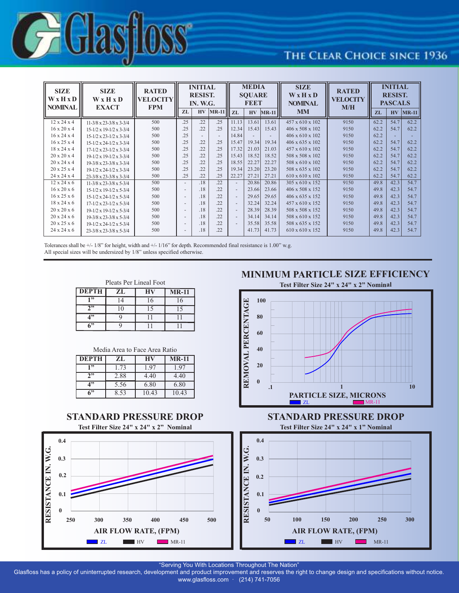

## THE CLEAR CHOICE SINCE 1936

| <b>SIZE</b><br>WxHxD<br><b>NOMINAL</b> | <b>SIZE</b><br><b>W</b> x H x D<br><b>EXACT</b> | <b>RATED</b><br>VELOCITY<br><b>FPM</b> |                          | <b>INITIAL</b><br><b>RESIST.</b><br><b>IN. W.G.</b> |                          | ║                        | <b>MEDIA</b><br><b>SOUARE</b><br><b>REET</b> |         | <b>SIZE</b><br>WxHxD<br><b>NOMINAL</b> | <b>RATED</b><br><b>VELOCITY</b><br>M/H | <b>INITIAL</b><br><b>RESIST.</b><br><b>PASCALS</b> |           |         |
|----------------------------------------|-------------------------------------------------|----------------------------------------|--------------------------|-----------------------------------------------------|--------------------------|--------------------------|----------------------------------------------|---------|----------------------------------------|----------------------------------------|----------------------------------------------------|-----------|---------|
|                                        |                                                 |                                        | ZL                       |                                                     | $HV$ $MR-11$ $ZL$        |                          | <b>HV</b>                                    | $MR-11$ | <b>MM</b>                              |                                        | <b>ZL</b>                                          | <b>HV</b> | $MR-11$ |
| $12 \times 24 \times 4$                | $11-3/8 \times 23-3/8 \times 3-3/4$             | 500                                    | .25                      | .22                                                 | .25                      | 11.13                    | 13.61                                        | 13.61   | 457 x 610 x 102                        | 9150                                   | 62.2                                               | 54.7      | 62.2    |
| $16 \times 20 \times 4$                | $15-1/2 \times 19-1/2 \times 3-3/4$             | 500                                    | .25                      | .22                                                 | .25                      | 12.34                    | 15.43                                        | 15.43   | 406 x 508 x 102                        | 9150                                   | 62.2                                               | 54.7      | 62.2    |
| $16 \times 24 \times 4$                | $15-1/2 \times 23-1/2 \times 3-3/4$             | 500                                    | .25                      |                                                     | $\overline{\phantom{a}}$ | 14.84                    |                                              |         | 406 x 610 x 102                        | 9150                                   | 62.2                                               |           |         |
| $16 \times 25 \times 4$                | $15-1/2 \times 24-1/2 \times 3-3/4$             | 500                                    | .25                      | .22                                                 | .25                      | 15.47                    | 19.34                                        | 19.34   | 406 x 635 x 102                        | 9150                                   | 62.2                                               | 54.7      | 62.2    |
| $18 \times 24 \times 4$                | $17 - 1/2 \times 23 - 1/2 \times 3 - 3/4$       | 500                                    | .25                      | .22                                                 | .25                      | 17.32                    | 21.03                                        | 21.03   | 457 x 610 x 102                        | 9150                                   | 62.2                                               | 54.7      | 62.2    |
| $20 \times 20 \times 4$                | $19-1/2 \times 19-1/2 \times 3-3/4$             | 500                                    | .25                      | .22                                                 | .25                      | 15.43                    | 18.52                                        | 18.52   | 508 x 508 x 102                        | 9150                                   | 62.2                                               | 54.7      | 62.2    |
| $20 \times 24 \times 4$                | $19-3/8 \times 23-3/8 \times 3-3/4$             | 500                                    | .25                      | .22                                                 | .25                      | 18.55                    | 22.27                                        | 22.27   | 508 x 610 x 102                        | 9150                                   | 62.2                                               | 54.7      | 62.2    |
| $20 \times 25 \times 4$                | $19-1/2 \times 24-1/2 \times 3-3/4$             | 500                                    | .25                      | .22                                                 | .25                      | 19.34                    | 23.20                                        | 23.20   | 508 x 635 x 102                        | 9150                                   | 62.2                                               | 54.7      | 62.2    |
| 24 x 24 x 4                            | $23 - 3/8 \times 23 - 3/8 \times 3 - 3/4$       | 500                                    | .25                      | .22                                                 | .25                      | 22.27                    | 27.21                                        | 27.21   | 610 x 610 x 102                        | 9150                                   | 62.2                                               | 54.7      | 62.2    |
| $12 \times 24 \times 6$                | $11-3/8 \times 23-3/8 \times 5-3/4$             | 500                                    | $\overline{\phantom{0}}$ | .18                                                 | .22                      | $\sim$                   | 20.86                                        | 20.86   | 305 x 610 x 152                        | 9150                                   | 49.8                                               | 42.3      | 54.7    |
| $16 \times 20 \times 6$                | $15-1/2 \times 19-1/2 \times 5-3/4$             | 500                                    | $\overline{\phantom{0}}$ | .18                                                 | .22                      | $\sim$                   | 23.66                                        | 23.66   | 406 x 508 x 152                        | 9150                                   | 49.8                                               | 42.3      | 54.7    |
| $16 \times 25 \times 6$                | $15-1/2 \times 24-1/2 \times 5-3/4$             | 500                                    | $\overline{\phantom{0}}$ | .18                                                 | .22                      | $\sim$                   | 29.65                                        | 29.65   | 406 x 635 x 152                        | 9150                                   | 49.8                                               | 42.3      | 54.7    |
| $18 \times 24 \times 6$                | $17 - 1/2 \times 23 - 1/2 \times 5 - 3/4$       | 500                                    | $\overline{\phantom{0}}$ | .18                                                 | .22                      | $\overline{\phantom{a}}$ | 32.24                                        | 32.24   | 457 x 610 x 152                        | 9150                                   | 49.8                                               | 42.3      | 54.7    |
| $20 \times 20 \times 6$                | $19-1/2 \times 19-1/2 \times 5-3/4$             | 500                                    | $\overline{\phantom{a}}$ | .18                                                 | .22                      | $\overline{\phantom{a}}$ | 28.39                                        | 28.39   | 508 x 508 x 152                        | 9150                                   | 49.8                                               | 42.3      | 54.7    |
| $20 \times 24 \times 6$                | $19-3/8 \times 23-3/8 \times 5-3/4$             | 500                                    | $\overline{\phantom{0}}$ | .18                                                 | .22                      | $\sim$                   | 34.14                                        | 34.14   | 508 x 610 x 152                        | 9150                                   | 49.8                                               | 42.3      | 54.7    |
| $20 \times 25 \times 6$                | $19-1/2 \times 24-1/2 \times 5-3/4$             | 500                                    | $\overline{\phantom{0}}$ | .18                                                 | .22                      | $\sim$                   | 35.58                                        | 35.58   | 508 x 635 x 152                        | 9150                                   | 49.8                                               | 42.3      | 54.7    |
| $24 \times 24 \times 6$                | $23 - 3/8 \times 23 - 3/8 \times 5 - 3/4$       | 500                                    |                          | .18                                                 | .22                      |                          | 41.73                                        | 41.73   | 610 x 610 x 152                        | 9150                                   | 49.8                                               | 42.3      | 54.7    |

Tolerances shall be +/- 1/8" for height, width and +/- 1/16" for depth. Recommended final resistance is 1.00" w.g. All special sizes will be undersized by 1/8" unless specified otherwise.

Pleats Per Lineal Foot

| <b>DEPTH</b> | ZL | $MR-11$ |  |  |
|--------------|----|---------|--|--|
| 1 "          |    |         |  |  |
| <b>1</b> 99  |    |         |  |  |
|              |    |         |  |  |
| 6"           |    |         |  |  |

| Media Area to Face Area Ratio |  |  |
|-------------------------------|--|--|
|-------------------------------|--|--|

| <b>DEPTH</b>      | ZL   | НV    | <b>MR-11</b> |  |  |
|-------------------|------|-------|--------------|--|--|
| 1, 22             | 1.73 | 1.97  | 1.97         |  |  |
| $2$ <sup>33</sup> | 2.88 | 4.40  | 4.40         |  |  |
| 422               | 5.56 | 6.80  | 6.80         |  |  |
| 6"                | 8.53 | 10.43 | 10.43        |  |  |



**MINIMUM PARTICLE SIZE EFFICIENCY**



**STANDARD PRESSURE DROP**



"Serving You With Locations Throughout The Nation"

Glasfloss has a policy of uninterrupted research, development and product improvement and reserves the right to change design and specifications without notice. www.glasfloss.com · (214) 741-7056